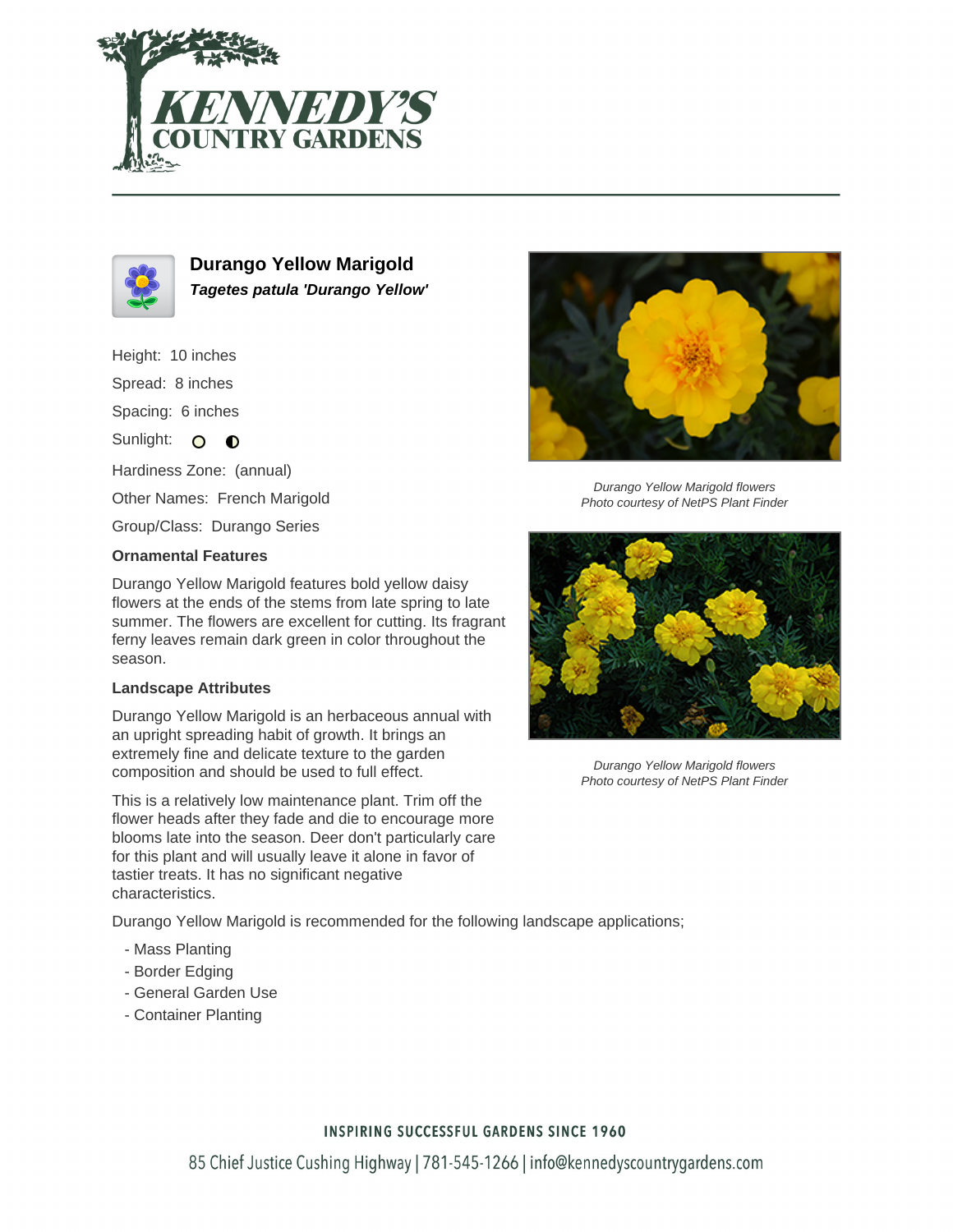



**Durango Yellow Marigold Tagetes patula 'Durango Yellow'**

Height: 10 inches

Spread: 8 inches

Spacing: 6 inches

Sunlight: O O

Hardiness Zone: (annual)

Other Names: French Marigold

Group/Class: Durango Series

## **Ornamental Features**

Durango Yellow Marigold features bold yellow daisy flowers at the ends of the stems from late spring to late summer. The flowers are excellent for cutting. Its fragrant ferny leaves remain dark green in color throughout the season.

## **Landscape Attributes**

Durango Yellow Marigold is an herbaceous annual with an upright spreading habit of growth. It brings an extremely fine and delicate texture to the garden composition and should be used to full effect.

This is a relatively low maintenance plant. Trim off the flower heads after they fade and die to encourage more blooms late into the season. Deer don't particularly care for this plant and will usually leave it alone in favor of tastier treats. It has no significant negative characteristics.

Durango Yellow Marigold is recommended for the following landscape applications;

- Mass Planting
- Border Edging
- General Garden Use
- Container Planting



Durango Yellow Marigold flowers Photo courtesy of NetPS Plant Finder



Durango Yellow Marigold flowers Photo courtesy of NetPS Plant Finder

## **INSPIRING SUCCESSFUL GARDENS SINCE 1960**